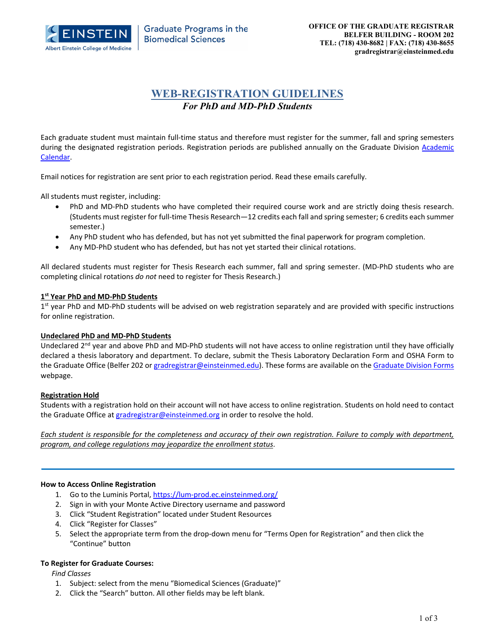

# **WEB-REGISTRATION GUIDELINES** *For PhD and MD-PhD Students*

Each graduate student must maintain full‐time status and therefore must register for the summer, fall and spring semesters during the designated registration periods. Registration periods are published annually on the Graduate Division Academic Calendar.

Email notices for registration are sent prior to each registration period. Read these emails carefully.

All students must register, including:

- PhD and MD-PhD students who have completed their required course work and are strictly doing thesis research. (Students must register for full‐time Thesis Research—12 credits each fall and spring semester; 6 credits each summer semester.)
- Any PhD student who has defended, but has not yet submitted the final paperwork for program completion.
- Any MD‐PhD student who has defended, but has not yet started their clinical rotations.

All declared students must register for Thesis Research each summer, fall and spring semester. (MD‐PhD students who are completing clinical rotations *do not* need to register for Thesis Research.)

## **1st Year PhD and MD‐PhD Students**

1<sup>st</sup> year PhD and MD-PhD students will be advised on web registration separately and are provided with specific instructions for online registration.

#### **Undeclared PhD and MD‐PhD Students**

Undeclared  $2<sup>nd</sup>$  year and above PhD and MD-PhD students will not have access to online registration until they have officially declared a thesis laboratory and department. To declare, submit the Thesis Laboratory Declaration Form and OSHA Form to the Graduate Office (Belfer 202 or gradregistrar@einsteinmed.edu). These forms are available on the Graduate Division Forms webpage.

# **Registration Hold**

Students with a registration hold on their account will not have access to online registration. Students on hold need to contact the Graduate Office at gradregistrar@einsteinmed.org in order to resolve the hold.

Each student is responsible for the completeness and accuracy of their own registration. Failure to comply with department, *program, and college regulations may jeopardize the enrollment status*.

#### **How to Access Online Registration**

- 1. Go to the Luminis Portal, https://lum-prod.ec.einsteinmed.org/
- 2. Sign in with your Monte Active Directory username and password
- 3. Click "Student Registration" located under Student Resources
- 4. Click "Register for Classes"
- 5. Select the appropriate term from the drop-down menu for "Terms Open for Registration" and then click the "Continue" button

#### **To Register for Graduate Courses:**

*Find Classes*

- 1. Subject: select from the menu "Biomedical Sciences (Graduate)"
- 2. Click the "Search" button. All other fields may be left blank.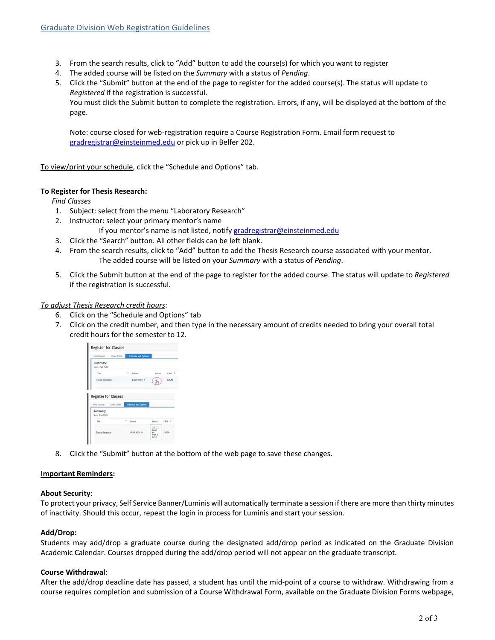- 3. From the search results, click to "Add" button to add the course(s) for which you want to register
- 4. The added course will be listed on the *Summary* with a status of *Pending*.
- 5. Click the "Submit" button at the end of the page to register for the added course(s). The status will update to *Registered* if the registration is successful.

You must click the Submit button to complete the registration. Errors, if any, will be displayed at the bottom of the page.

Note: course closed for web‐registration require a Course Registration Form. Email form request to gradregistrar@einsteinmed.edu or pick up in Belfer 202.

To view/print your schedule, click the "Schedule and Options" tab.

# **To Register for Thesis Research:**

*Find Classes*

- 1. Subject: select from the menu "Laboratory Research"
- 2. Instructor: select your primary mentor's name
	- If you mentor's name is not listed, notify gradregistrar@einsteinmed.edu
- 3. Click the "Search" button. All other fields can be left blank.
- 4. From the search results, click to "Add" button to add the Thesis Research course associated with your mentor. The added course will be listed on your *Summary* with a status of *Pending*.
- 5. Click the Submit button at the end of the page to register for the added course. The status will update to *Registered* if the registration is successful.

#### *To adjust Thesis Research credit hours*:

- 6. Click on the "Schedule and Options" tab
- 7. Click on the credit number, and then type in the necessary amount of credits needed to bring your overall total credit hours for the semester to 12.



8. Click the "Submit" button at the bottom of the web page to save these changes.

#### **Important Reminders:**

#### **About Security**:

To protect your privacy, Self Service Banner/Luminis will automatically terminate a session if there are more than thirty minutes of inactivity. Should this occur, repeat the login in process for Luminis and start your session.

# **Add/Drop:**

Students may add/drop a graduate course during the designated add/drop period as indicated on the Graduate Division Academic Calendar. Courses dropped during the add/drop period will not appear on the graduate transcript.

## **Course Withdrawal**:

After the add/drop deadline date has passed, a student has until the mid‐point of a course to withdraw. Withdrawing from a course requires completion and submission of a Course Withdrawal Form, available on the Graduate Division Forms webpage,